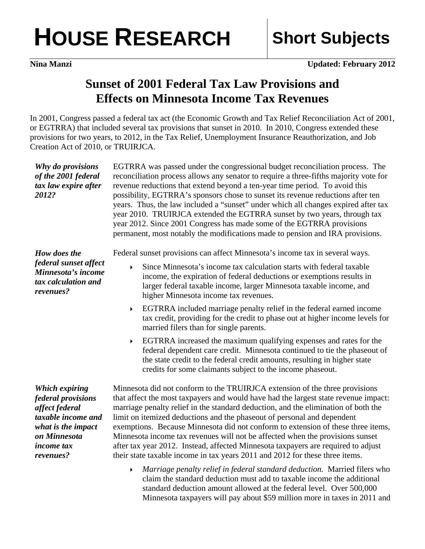## **HOUSE RESEARCH Short Subjects**

*2012?* 

## **Sunset of 2001 Federal Tax Law Provisions and Effects on Minnesota Income Tax Revenues**

In 2001, Congress passed a federal tax act (the Economic Growth and Tax Relief Reconciliation Act of 2001, or EGTRRA) that included several tax provisions that sunset in 2010. In 2010, Congress extended these provisions for two years, to 2012, in the Tax Relief, Unemployment Insurance Reauthorization, and Job Creation Act of 2010, or TRUIRJCA.

*Why do provisions of the 2001 federal tax law expire after*  EGTRRA was passed under the congressional budget reconciliation process. The reconciliation process allows any senator to require a three-fifths majority vote for revenue reductions that extend beyond a ten-year time period. To avoid this possibility, EGTRRA's sponsors chose to sunset its revenue reductions after ten years. Thus, the law included a "sunset" under which all changes expired after tax year 2010. TRUIRJCA extended the EGTRRA sunset by two years, through tax year 2012. Since 2001 Congress has made some of the EGTRRA provisions permanent, most notably the modifications made to pension and IRA provisions.

*How does the federal sunset affect Minnesota's income tax calculation and revenues?* 

Federal sunset provisions can affect Minnesota's income tax in several ways.

- Since Minnesota's income tax calculation starts with federal taxable income, the expiration of federal deductions or exemptions results in larger federal taxable income, larger Minnesota taxable income, and higher Minnesota income tax revenues.
- EGTRRA included marriage penalty relief in the federal earned income tax credit, providing for the credit to phase out at higher income levels for married filers than for single parents.
- EGTRRA increased the maximum qualifying expenses and rates for the federal dependent care credit. Minnesota continued to tie the phaseout of the state credit to the federal credit amounts, resulting in higher state credits for some claimants subject to the income phaseout.

*Which expiring federal provisions affect federal taxable income and what is the impact on Minnesota income tax revenues?* 

Minnesota did not conform to the TRUIRJCA extension of the three provisions that affect the most taxpayers and would have had the largest state revenue impact: marriage penalty relief in the standard deduction, and the elimination of both the limit on itemized deductions and the phaseout of personal and dependent exemptions. Because Minnesota did not conform to extension of these three items, Minnesota income tax revenues will not be affected when the provisions sunset after tax year 2012. Instead, affected Minnesota taxpayers are required to adjust their state taxable income in tax years 2011 and 2012 for these three items.

 *Marriage penalty relief in federal standard deduction.* Married filers who claim the standard deduction must add to taxable income the additional standard deduction amount allowed at the federal level. Over 500,000 Minnesota taxpayers will pay about \$59 million more in taxes in 2011 and